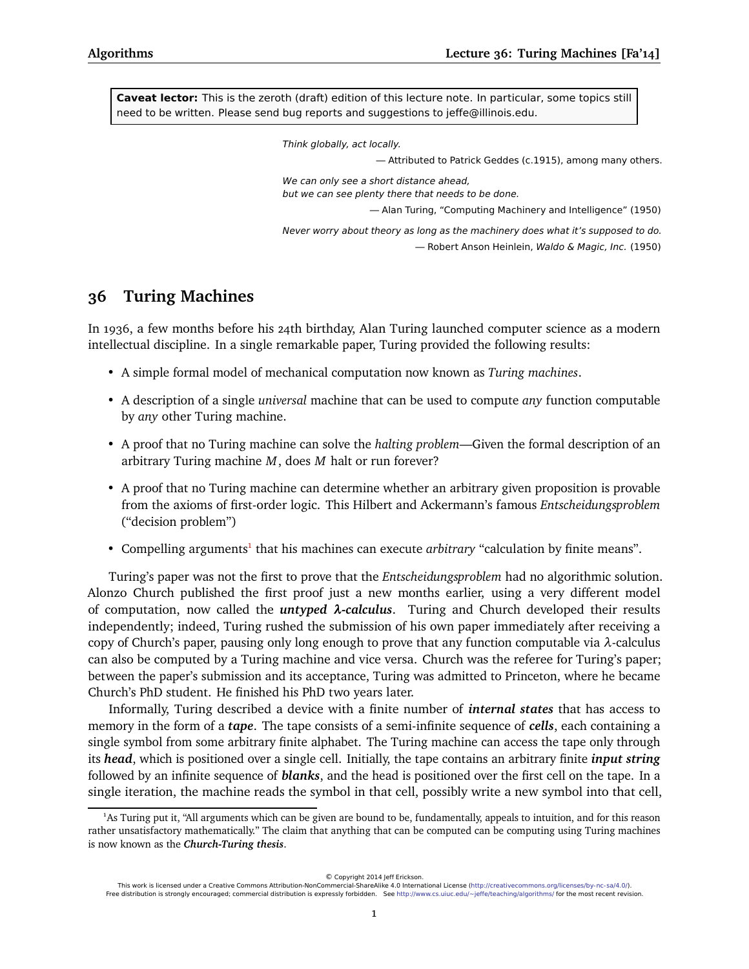**Caveat lector:** This is the zeroth (draft) edition of this lecture note. In particular, some topics still need to be written. Please send bug reports and suggestions to jeffe@illinois.edu.

Think globally, act locally.

— Attributed to Patrick Geddes (c.1915), among many others.

We can only see a short distance ahead, but we can see plenty there that needs to be done. — Alan Turing, "Computing Machinery and Intelligence" (1950) Never worry about theory as long as the machinery does what it's supposed to do.

— Robert Anson Heinlein, Waldo & Magic, Inc. (1950)

# **36 Turing Machines**

In 1936, a few months before his 24th birthday, Alan Turing launched computer science as a modern intellectual discipline. In a single remarkable paper, Turing provided the following results:

- A simple formal model of mechanical computation now known as *Turing machines*.
- A description of a single *universal* machine that can be used to compute *any* function computable by *any* other Turing machine.
- A proof that no Turing machine can solve the *halting problem*—Given the formal description of an arbitrary Turing machine *M*, does *M* halt or run forever?
- A proof that no Turing machine can determine whether an arbitrary given proposition is provable from the axioms of first-order logic. This Hilbert and Ackermann's famous *Entscheidungsproblem* ("decision problem")
- Compelling arguments<sup>[1](#page-0-0)</sup> that his machines can execute *arbitrary* "calculation by finite means".

Turing's paper was not the first to prove that the *Entscheidungsproblem* had no algorithmic solution. Alonzo Church published the first proof just a new months earlier, using a very different model of computation, now called the *untyped λ-calculus*. Turing and Church developed their results independently; indeed, Turing rushed the submission of his own paper immediately after receiving a copy of Church's paper, pausing only long enough to prove that any function computable via *λ*-calculus can also be computed by a Turing machine and vice versa. Church was the referee for Turing's paper; between the paper's submission and its acceptance, Turing was admitted to Princeton, where he became Church's PhD student. He finished his PhD two years later.

Informally, Turing described a device with a finite number of *internal states* that has access to memory in the form of a *tape*. The tape consists of a semi-infinite sequence of *cells*, each containing a single symbol from some arbitrary finite alphabet. The Turing machine can access the tape only through its *head*, which is positioned over a single cell. Initially, the tape contains an arbitrary finite *input string* followed by an infinite sequence of *blanks*, and the head is positioned over the first cell on the tape. In a single iteration, the machine reads the symbol in that cell, possibly write a new symbol into that cell,

© Copyright 2014 Jeff Erickson.

<span id="page-0-0"></span><sup>1</sup>As Turing put it, "All arguments which can be given are bound to be, fundamentally, appeals to intuition, and for this reason rather unsatisfactory mathematically." The claim that anything that can be computed can be computing using Turing machines is now known as the *Church-Turing thesis*.

This work is licensed under a Creative Commons Attribution-NonCommercial-ShareAlike 4.0 International License [\(http://creativecommons.org/licenses/by-nc-sa/4.0/\)](http://creativecommons.org/licenses/by-nc-sa/4.0/). Free distribution is strongly encouraged; commercial distribution is expressly forbidden. See <http://www.cs.uiuc.edu/~jeffe/teaching/algorithms/> for the most recent revision.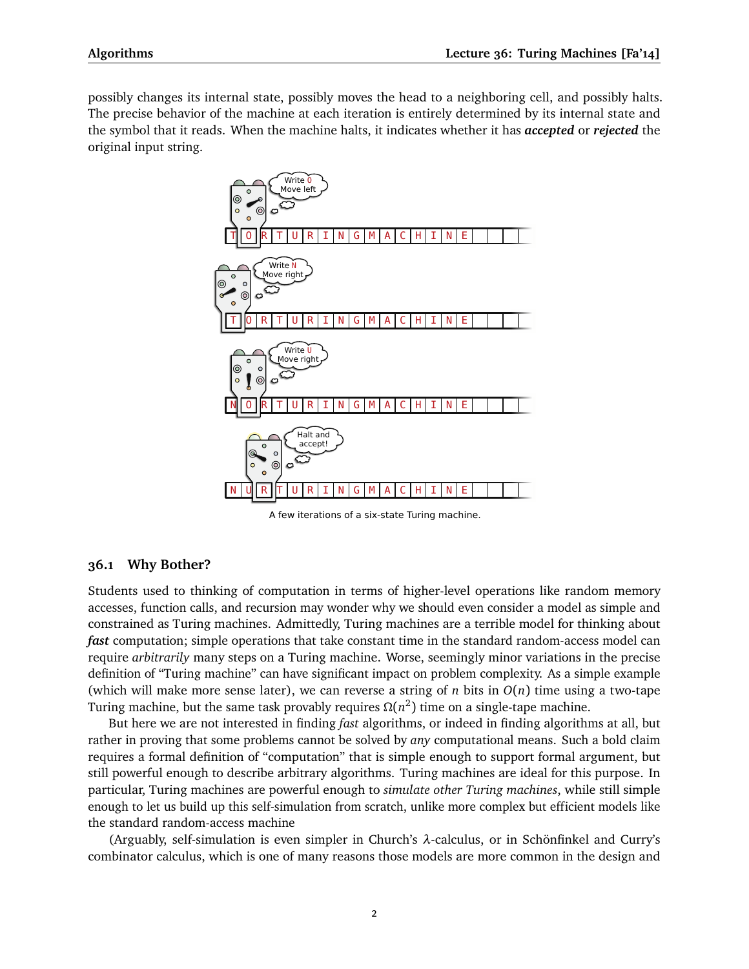possibly changes its internal state, possibly moves the head to a neighboring cell, and possibly halts. The precise behavior of the machine at each iteration is entirely determined by its internal state and the symbol that it reads. When the machine halts, it indicates whether it has *accepted* or *rejected* the original input string.



A few iterations of a six-state Turing machine.

## **36.1 Why Bother?**

Students used to thinking of computation in terms of higher-level operations like random memory accesses, function calls, and recursion may wonder why we should even consider a model as simple and constrained as Turing machines. Admittedly, Turing machines are a terrible model for thinking about *fast* computation; simple operations that take constant time in the standard random-access model can require *arbitrarily* many steps on a Turing machine. Worse, seemingly minor variations in the precise definition of "Turing machine" can have significant impact on problem complexity. As a simple example (which will make more sense later), we can reverse a string of *n* bits in  $O(n)$  time using a two-tape Turing machine, but the same task provably requires  $\Omega(n^2)$  time on a single-tape machine.

But here we are not interested in finding *fast* algorithms, or indeed in finding algorithms at all, but rather in proving that some problems cannot be solved by *any* computational means. Such a bold claim requires a formal definition of "computation" that is simple enough to support formal argument, but still powerful enough to describe arbitrary algorithms. Turing machines are ideal for this purpose. In particular, Turing machines are powerful enough to *simulate other Turing machines*, while still simple enough to let us build up this self-simulation from scratch, unlike more complex but efficient models like the standard random-access machine

(Arguably, self-simulation is even simpler in Church's *λ*-calculus, or in Schönfinkel and Curry's combinator calculus, which is one of many reasons those models are more common in the design and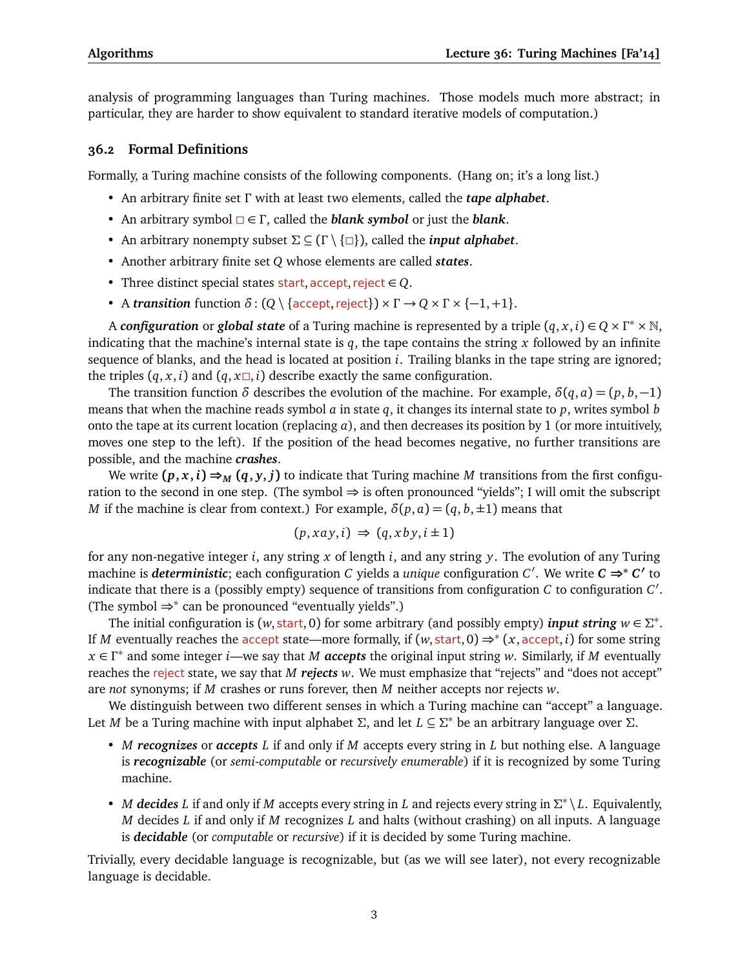analysis of programming languages than Turing machines. Those models much more abstract; in particular, they are harder to show equivalent to standard iterative models of computation.)

## **36.2 Formal Definitions**

Formally, a Turing machine consists of the following components. (Hang on; it's a long list.)

- An arbitrary finite set *Γ* with at least two elements, called the *tape alphabet*.
- An arbitrary symbol ∈ *Γ* , called the *blank symbol* or just the *blank*.
- An arbitrary nonempty subset  $\Sigma \subseteq (\Gamma \setminus \{\Box\})$ , called the *input alphabet*.
- Another arbitrary finite set *Q* whose elements are called *states*.
- Three distinct special states start, accept, reject ∈ *Q*.
- A *transition* function  $\delta$ :  $(Q \setminus \{\text{accept}, \text{reject}\}) \times \Gamma \to Q \times \Gamma \times \{-1, +1\}.$

A *configuration* or *global state* of a Turing machine is represented by a triple (*q*, *x*, *i*) ∈ *Q* × *Γ* <sup>∗</sup> × N, indicating that the machine's internal state is  $q$ , the tape contains the string  $x$  followed by an infinite sequence of blanks, and the head is located at position *i*. Trailing blanks in the tape string are ignored; the triples  $(q, x, i)$  and  $(q, x\Box, i)$  describe exactly the same configuration.

The transition function  $\delta$  describes the evolution of the machine. For example,  $\delta(q, a) = (p, b, -1)$ means that when the machine reads symbol *a* in state *q*, it changes its internal state to *p*, writes symbol *b* onto the tape at its current location (replacing *a*), and then decreases its position by 1 (or more intuitively, moves one step to the left). If the position of the head becomes negative, no further transitions are possible, and the machine *crashes*.

We write  $(p, x, i) \Rightarrow_M (q, y, j)$  to indicate that Turing machine *M* transitions from the first configuration to the second in one step. (The symbol  $\Rightarrow$  is often pronounced "yields"; I will omit the subscript *M* if the machine is clear from context.) For example,  $\delta(p, a) = (q, b, \pm 1)$  means that

$$
(p, xay, i) \Rightarrow (q, xby, i \pm 1)
$$

for any non-negative integer *i*, any string *x* of length *i*, and any string *y*. The evolution of any Turing machine is *deterministic*; each configuration *C* yields a *unique* configuration *C'*. We write  $C \Rightarrow C'$  to indicate that there is a (possibly empty) sequence of transitions from configuration *C* to configuration *C* 0 . (The symbol ⇒<sup>∗</sup> can be pronounced "eventually yields".)

The initial configuration is (*w*, start, 0) for some arbitrary (and possibly empty) *input string*  $w \in \Sigma^*$ . If *<sup>M</sup>* eventually reaches the accept state—more formally, if (*w*, start, 0) <sup>⇒</sup><sup>∗</sup> (*x*, accept, *i*) for some string *x* ∈ *Γ* ∗ and some integer *i*—we say that *M accepts* the original input string *w*. Similarly, if *M* eventually reaches the reject state, we say that *M rejects w*. We must emphasize that "rejects" and "does not accept" are *not* synonyms; if *M* crashes or runs forever, then *M* neither accepts nor rejects *w*.

We distinguish between two different senses in which a Turing machine can "accept" a language. Let *M* be a Turing machine with input alphabet *Σ*, and let *L* ⊆ *Σ* <sup>∗</sup> be an arbitrary language over *Σ*.

- *M recognizes* or *accepts L* if and only if *M* accepts every string in *L* but nothing else. A language is *recognizable* (or *semi-computable* or *recursively enumerable*) if it is recognized by some Turing machine.
- *M decides L* if and only if *M* accepts every string in *L* and rejects every string in *Σ* ∗ \ *L*. Equivalently, *M* decides *L* if and only if *M* recognizes *L* and halts (without crashing) on all inputs. A language is *decidable* (or *computable* or *recursive*) if it is decided by some Turing machine.

Trivially, every decidable language is recognizable, but (as we will see later), not every recognizable language is decidable.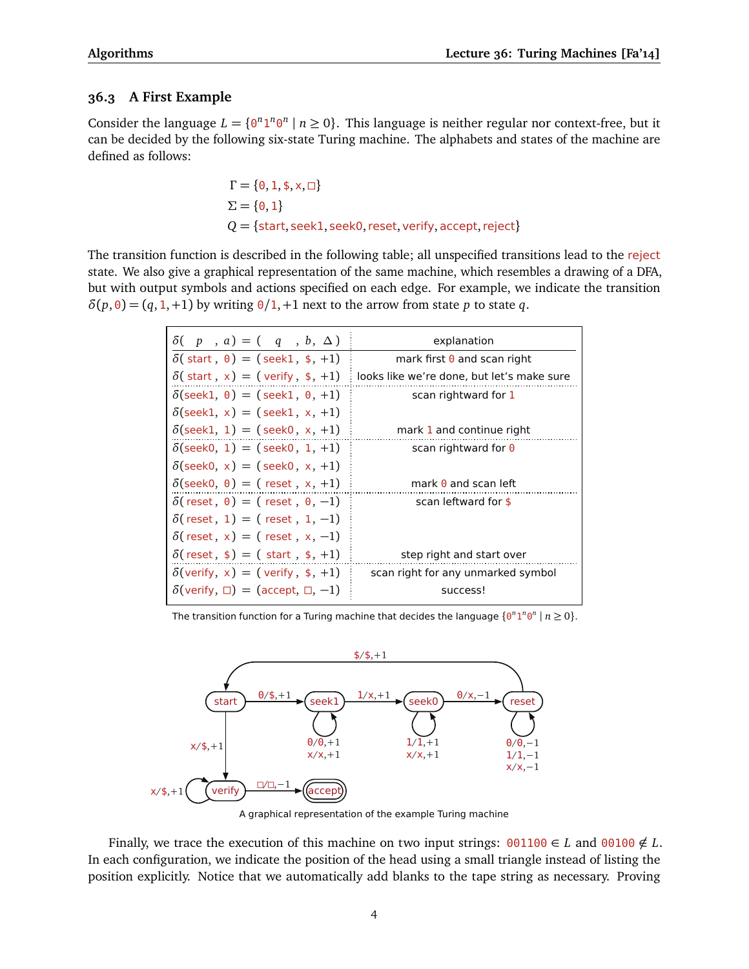## **36.3 A First Example**

Consider the language  $L = \{0^n 1^n 0^n \mid n \ge 0\}$ . This language is neither regular nor context-free, but it can be decided by the following six-state Turing machine. The alphabets and states of the machine are defined as follows:

$$
\Gamma = \{0, 1, \text{m}, x, \Box\}
$$
  
\n
$$
\Sigma = \{0, 1\}
$$
  
\n
$$
Q = \{\text{start}, \text{seek1}, \text{seek0}, \text{reset}, \text{verify}, \text{accept}, \text{reject}\}
$$

The transition function is described in the following table; all unspecified transitions lead to the reject state. We also give a graphical representation of the same machine, which resembles a drawing of a DFA, but with output symbols and actions specified on each edge. For example, we indicate the transition  $\delta(p, \theta) = (q, 1, +1)$  by writing  $\theta/1, +1$  next to the arrow from state *p* to state *q*.

| $\delta(p, a) = (q, b, \Delta)$                             | explanation                                |
|-------------------------------------------------------------|--------------------------------------------|
| $\delta$ (start, $\theta$ ) = (seek1, \$, +1)               | mark first $\theta$ and scan right         |
| $\delta$ (start, x) = (verify, \$, +1)                      | looks like we're done, but let's make sure |
| $\delta$ (seek1, 0) = (seek1, 0, +1)                        | scan rightward for 1                       |
| $\delta$ (seek1, x) = (seek1, x, +1)                        |                                            |
| $\delta$ (seek1, 1) = (seek0, x, +1)                        | mark 1 and continue right                  |
| $\delta$ (seek0, 1) = (seek0, 1, +1)                        | scan rightward for $\theta$                |
| $\delta$ (seek0, x) = (seek0, x, +1)                        |                                            |
| $\delta$ (seek0, 0) = (reset, x, +1)                        | mark $\theta$ and scan left                |
| $\delta$ (reset, 0) = (reset, 0, -1)                        | scan leftward for \$                       |
| $\delta$ (reset, 1) = (reset, 1, -1)                        |                                            |
| $\delta$ (reset, x) = (reset, x, -1)                        |                                            |
| $\delta$ (reset, \$) = (start, \$, +1)                      | step right and start over                  |
| $\delta$ (verify, x) = (verify, \$, +1)                     | scan right for any unmarked symbol         |
| $\delta$ (verify, $\square$ ) = (accept, $\square$ , $-1$ ) | success!                                   |

The transition function for a Turing machine that decides the language  $\{0^n1^n0^n \mid n \geq 0\}.$ 



A graphical representation of the example Turing machine

Finally, we trace the execution of this machine on two input strings:  $001100 \in L$  and  $00100 \notin L$ . In each configuration, we indicate the position of the head using a small triangle instead of listing the position explicitly. Notice that we automatically add blanks to the tape string as necessary. Proving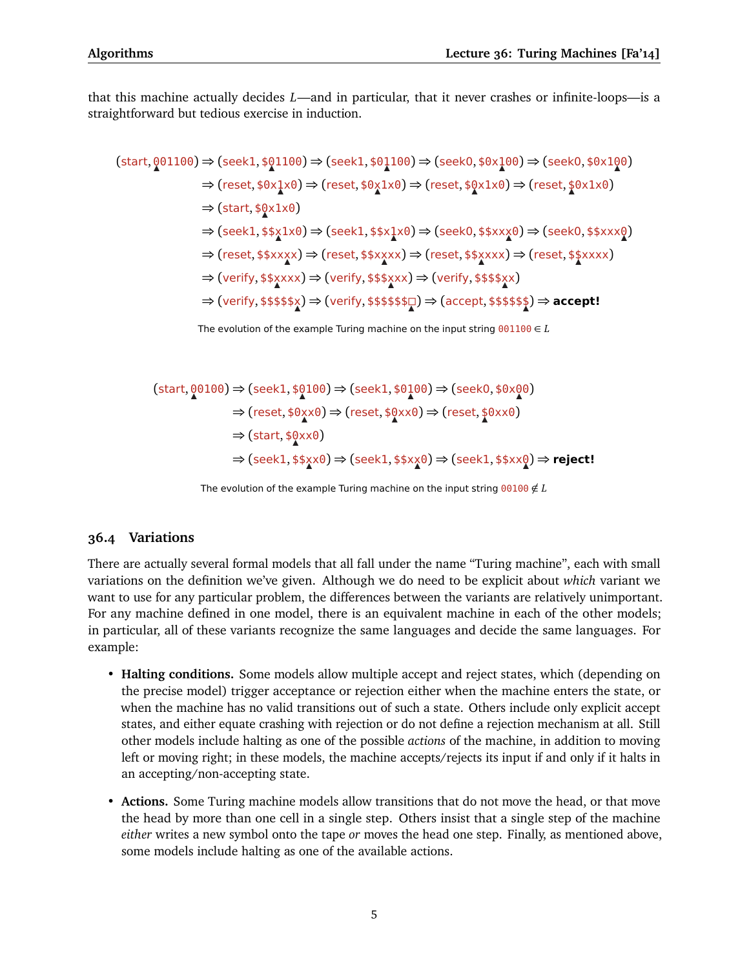that this machine actually decides *L*—and in particular, that it never crashes or infinite-loops—is a straightforward but tedious exercise in induction.

$$
(\text{start}, \mathbf{Q01100}) \Rightarrow (\text{seek1}, \mathbf{\$Q1100}) \Rightarrow (\text{seek1}, \mathbf{\$01100}) \Rightarrow (\text{seek0}, \mathbf{\$0x100}) \Rightarrow (\text{seek0}, \mathbf{\$0x1Q0})
$$
\n
$$
\Rightarrow (\text{reset}, \mathbf{\$0x1x0}) \Rightarrow (\text{reset}, \mathbf{\$0x1x0}) \Rightarrow (\text{reset}, \mathbf{\$Qx1x0}) \Rightarrow (\text{reset}, \mathbf{\$Qx1x0}) \Rightarrow (\text{reset}, \mathbf{\$Qx1x0})
$$
\n
$$
\Rightarrow (\text{start}, \mathbf{\$Qx1x0})
$$
\n
$$
\Rightarrow (\text{seek1}, \mathbf{\$x1x0}) \Rightarrow (\text{seek1}, \mathbf{\$x1x0}) \Rightarrow (\text{seek0}, \mathbf{\$xxxx0}) \Rightarrow (\text{seek0}, \mathbf{\$xxxx0}) \Rightarrow (\text{reset}, \mathbf{\$xxxx0}) \Rightarrow (\text{reset}, \mathbf{\$xxxx0}) \Rightarrow (\text{reset}, \mathbf{\$xxxx0}) \Rightarrow (\text{reject}, \mathbf{\$xxxx0}) \Rightarrow (\text{verify}, \mathbf{\$x5xxx}) \Rightarrow (\text{verify}, \mathbf{\$x5xxx}) \Rightarrow (\text{verify}, \mathbf{\$x5xxx}) \Rightarrow (\text{verify}, \mathbf{\$x5x00}) \Rightarrow (\text{verify}, \mathbf{\$x5x00}) \Rightarrow (\text{verify}, \mathbf{\$x5x00}) \Rightarrow (\text{verify}, \mathbf{\$x5x00}) \Rightarrow (\text{verify}, \mathbf{\$x5x00}) \Rightarrow (\text{verify}, \mathbf{\$x5x00}) \Rightarrow (\text{accept}, \mathbf{\$x5x00}) \Rightarrow (\text{accept}, \mathbf{\$x5x00}) \Rightarrow (\text{accept}, \mathbf{\$x5x00}) \Rightarrow (\text{accept}, \mathbf{\$x5x00}) \Rightarrow (\text{every}, \mathbf{\$x5x00}) \Rightarrow (\text{verify}, \mathbf{\$x5x00}) \Rightarrow (\text{every}, \mathbf{\$x5x00}) \Rightarrow (\text{very}, \mathbf{\$x5x00}) \Rightarrow (\text{very}, \mathbf{\$x5x00}) \Rightarrow (\text{very}, \mathbf{\$x5x00}) \Rightarrow (\text{very}, \mathbf{\$x5x00}) \Rightarrow (\text{very}, \mathbf{\$x5x00}) \Rightarrow (\text{very}, \mathbf{\$x5x00
$$

The evolution of the example Turing machine on the input string  $001100 \in L$ 

$$
(\text{start}, \underbrace{\emptyset 100}) \Rightarrow (\text{seek1}, \underbrace{\emptyset 100}) \Rightarrow (\text{seek1}, \underbrace{\emptyset 100}) \Rightarrow (\text{seek0}, \underbrace{\emptyset 100})
$$
\n
$$
\Rightarrow (\text{reset}, \underbrace{\emptyset \times x0}) \Rightarrow (\text{reset}, \underbrace{\emptyset \times x0}) \Rightarrow (\text{reset}, \underbrace{\emptyset \times x0})
$$
\n
$$
\Rightarrow (\text{start}, \underbrace{\emptyset \times x0}) \Rightarrow (\text{seek1}, \underbrace{\emptyset \times x0}) \Rightarrow (\text{seek1}, \underbrace{\emptyset \times x0}) \Rightarrow \text{reject1}
$$

The evolution of the example Turing machine on the input string  $00100 \notin L$ 

## **36.4 Variations**

There are actually several formal models that all fall under the name "Turing machine", each with small variations on the definition we've given. Although we do need to be explicit about *which* variant we want to use for any particular problem, the differences between the variants are relatively unimportant. For any machine defined in one model, there is an equivalent machine in each of the other models; in particular, all of these variants recognize the same languages and decide the same languages. For example:

- **Halting conditions.** Some models allow multiple accept and reject states, which (depending on the precise model) trigger acceptance or rejection either when the machine enters the state, or when the machine has no valid transitions out of such a state. Others include only explicit accept states, and either equate crashing with rejection or do not define a rejection mechanism at all. Still other models include halting as one of the possible *actions* of the machine, in addition to moving left or moving right; in these models, the machine accepts/rejects its input if and only if it halts in an accepting/non-accepting state.
- **Actions.** Some Turing machine models allow transitions that do not move the head, or that move the head by more than one cell in a single step. Others insist that a single step of the machine *either* writes a new symbol onto the tape *or* moves the head one step. Finally, as mentioned above, some models include halting as one of the available actions.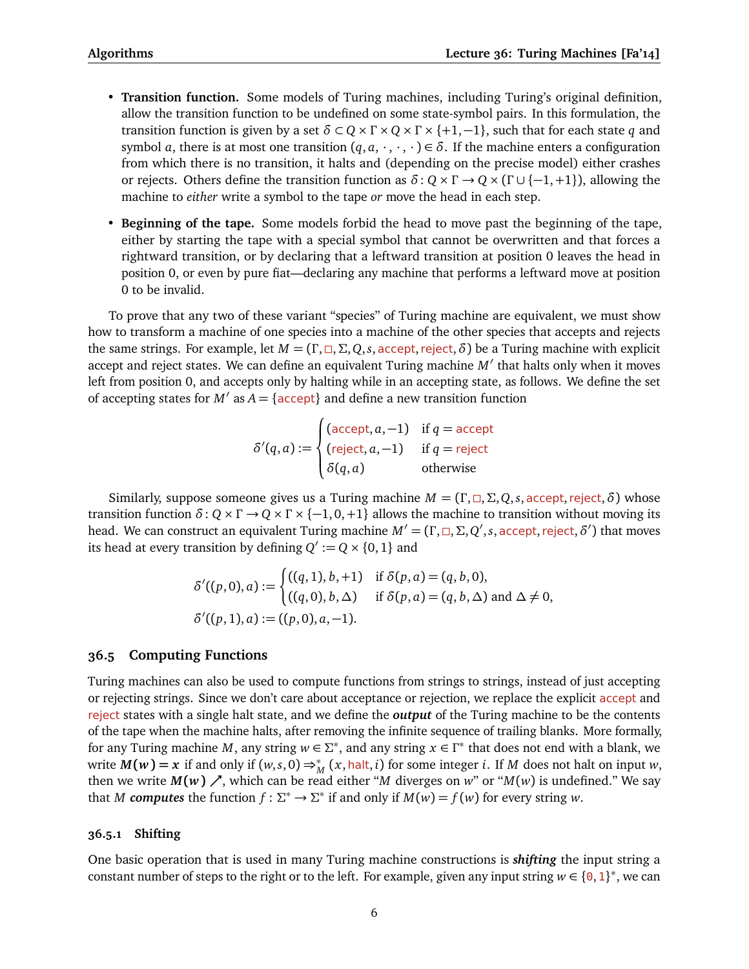- **Transition function.** Some models of Turing machines, including Turing's original definition, allow the transition function to be undefined on some state-symbol pairs. In this formulation, the transition function is given by a set  $\delta$  ⊂ *Q* × *Γ* × *Q* × *Γ* × {+1,−1}, such that for each state *q* and symbol *a*, there is at most one transition  $(q, a, \cdot, \cdot, \cdot) \in \delta$ . If the machine enters a configuration from which there is no transition, it halts and (depending on the precise model) either crashes or rejects. Others define the transition function as *δ*: *Q* × *Γ* → *Q* × (*Γ* ∪ {−1,+1}), allowing the machine to *either* write a symbol to the tape *or* move the head in each step.
- **Beginning of the tape.** Some models forbid the head to move past the beginning of the tape, either by starting the tape with a special symbol that cannot be overwritten and that forces a rightward transition, or by declaring that a leftward transition at position 0 leaves the head in position 0, or even by pure fiat—declaring any machine that performs a leftward move at position 0 to be invalid.

To prove that any two of these variant "species" of Turing machine are equivalent, we must show how to transform a machine of one species into a machine of the other species that accepts and rejects the same strings. For example, let  $M = (\Gamma, \Box, \Sigma, Q, s, \text{accept}, \text{reject}, \delta)$  be a Turing machine with explicit accept and reject states. We can define an equivalent Turing machine M' that halts only when it moves left from position 0, and accepts only by halting while in an accepting state, as follows. We define the set of accepting states for  $M'$  as  $A = \{ \text{accept} \}$  and define a new transition function

$$
\delta'(q, a) := \begin{cases}\n(\text{accept}, a, -1) & \text{if } q = \text{accept} \\
(\text{reject}, a, -1) & \text{if } q = \text{reject} \\
\delta(q, a) & \text{otherwise}\n\end{cases}
$$

Similarly, suppose someone gives us a Turing machine  $M = (\Gamma, \Box, \Sigma, Q, s)$ , accept, reject, δ) whose transition function *δ*:  $Q \times \Gamma \rightarrow Q \times \Gamma \times \{-1, 0, +1\}$  allows the machine to transition without moving its head. We can construct an equivalent Turing machine  $M' = (\Gamma, \Box, \Sigma, Q', s,$  accept, reject,  $\delta')$  that moves its head at every transition by defining  $Q' := Q \times \{0, 1\}$  and

$$
\delta'((p,0),a) := \begin{cases} ((q,1),b,+1) & \text{if } \delta(p,a) = (q,b,0), \\ ((q,0),b,\Delta) & \text{if } \delta(p,a) = (q,b,\Delta) \text{ and } \Delta \neq 0, \\ \delta'((p,1),a) := ((p,0),a,-1). \end{cases}
$$

## **36.5 Computing Functions**

Turing machines can also be used to compute functions from strings to strings, instead of just accepting or rejecting strings. Since we don't care about acceptance or rejection, we replace the explicit accept and reject states with a single halt state, and we define the *output* of the Turing machine to be the contents of the tape when the machine halts, after removing the infinite sequence of trailing blanks. More formally, for any Turing machine *M*, any string  $w \in \Sigma^*$ , and any string  $x \in \Gamma^*$  that does not end with a blank, we write  $M(w) = x$  if and only if  $(w, s, 0) \Rightarrow_M^* (x, \text{halt}, i)$  for some integer *i*. If *M* does not halt on input *w*, then we write  $M(w) \nearrow$ , which can be read either "*M* diverges on *w*" or "*M*(*w*) is undefined." We say that *M computes* the function  $f : \Sigma^* \to \Sigma^*$  if and only if  $M(w) = f(w)$  for every string w.

## **36.5.1 Shifting**

One basic operation that is used in many Turing machine constructions is *shifting* the input string a constant number of steps to the right or to the left. For example, given any input string  $w \in \{0,1\}^*$ , we can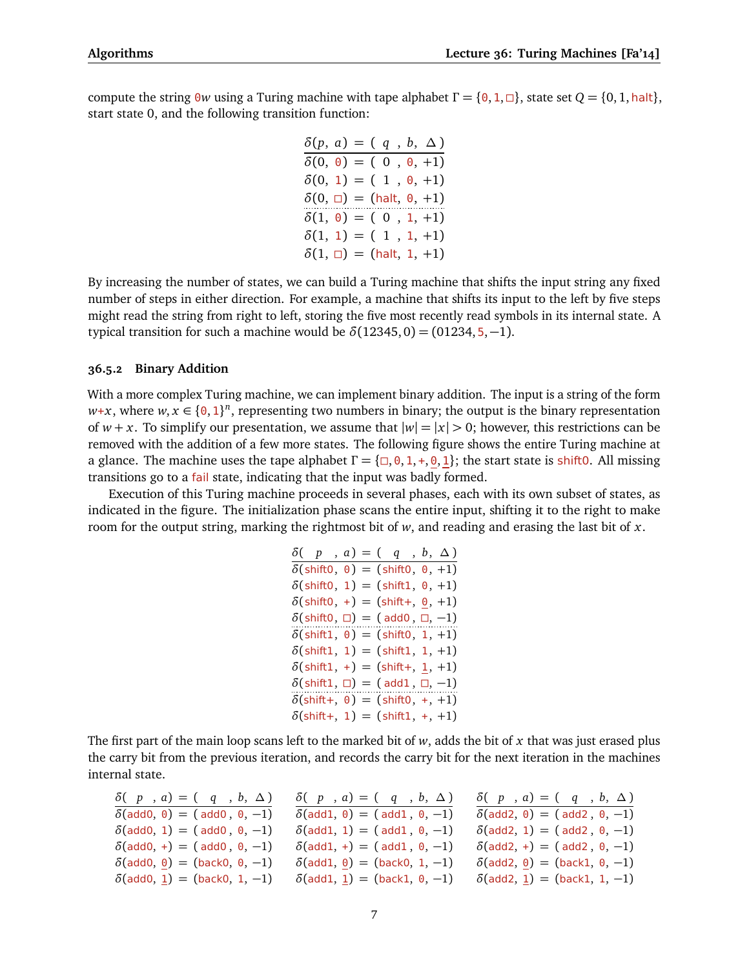compute the string 0*w* using a Turing machine with tape alphabet  $\Gamma = \{0, 1, \square\}$ , state set  $Q = \{0, 1, \text{halt}\}$ , start state 0, and the following transition function:

$$
\begin{aligned}\n\delta(p, a) &= (q, b, \Delta) \\
\overline{\delta(0, 0)} &= (0, 0, +1) \\
\delta(0, 1) &= (1, 0, +1) \\
\delta(0, \Box) &= (halt, 0, +1) \\
\delta(1, 0) &= (0, 1, +1) \\
\delta(1, 1) &= (1, 1, +1) \\
\delta(1, \Box) &= (halt, 1, +1)\n\end{aligned}
$$

By increasing the number of states, we can build a Turing machine that shifts the input string any fixed number of steps in either direction. For example, a machine that shifts its input to the left by five steps might read the string from right to left, storing the five most recently read symbols in its internal state. A typical transition for such a machine would be  $\delta(12345, 0) = (01234, 5, -1)$ .

#### **36.5.2 Binary Addition**

With a more complex Turing machine, we can implement binary addition. The input is a string of the form  $w+x$ , where  $w, x \in \{0,1\}^n$ , representing two numbers in binary; the output is the binary representation of  $w + x$ . To simplify our presentation, we assume that  $|w| = |x| > 0$ ; however, this restrictions can be removed with the addition of a few more states. The following figure shows the entire Turing machine at a glance. The machine uses the tape alphabet  $\Gamma = \{\square, 0, 1, +, 0, 1\}$ ; the start state is shift0. All missing transitions go to a fail state, indicating that the input was badly formed.

Execution of this Turing machine proceeds in several phases, each with its own subset of states, as indicated in the figure. The initialization phase scans the entire input, shifting it to the right to make room for the output string, marking the rightmost bit of *w*, and reading and erasing the last bit of *x*.

> *δ*( *p* , *a*) = ( *q* , *b*, *∆* )  $\delta$ (shift0, 0) = (shift0, 0, +1)  $δ($ shift0, 1) = (shift1,  $θ$ , +1)  $\delta$ (shift0, +) = (shift+,  $\theta$ , +1)  $\delta(\text{shift0}, \Box) = (\text{add0}, \Box, -1)$  $\delta$ (shift1, 0) = (shift0, 1, +1)  $\delta$ (shift1, 1) = (shift1, 1, +1)  $\delta$ (shift1, +) = (shift+, 1, +1)  $\delta(\text{shift1}, \Box) = (\text{add1}, \Box, -1)$  $\delta$ (shift+, 0) = (shift0, +, +1)  $\delta(\text{shift}+, 1) = (\text{shift}1, +, +1)$

The first part of the main loop scans left to the marked bit of *w*, adds the bit of *x* that was just erased plus the carry bit from the previous iteration, and records the carry bit for the next iteration in the machines internal state.

$$
\begin{array}{llll}\n\delta & \delta & p \quad a \end{array} = \begin{array}{llll}\n\delta & p \quad a \end{array} = \begin{array}{llll}\n\delta & p \quad a \end{array} = \begin{array}{llll}\n\delta & p \quad a \end{array} = \begin{array}{llll}\n\delta & p \quad a \end{array} = \begin{array}{llll}\n\delta & p \quad a \end{array} = \begin{array}{llll}\n\delta & p \quad a \end{array} = \begin{array}{llll}\n\delta & p \quad a \end{array} = \begin{array}{llll}\n\delta & p \quad a \end{array} = \begin{array}{llll}\n\delta & p \quad a \end{array} = \begin{array}{llll}\n\delta & p \quad a \end{array} = \begin{array}{llll}\n\delta & p \quad a \end{array} = \begin{array}{llll}\n\delta & p \quad a \end{array} = \begin{array}{llll}\n\delta & p \quad a \end{array} = \begin{array}{llll}\n\delta & p \quad a \end{array} = \begin{array}{llll}\n\delta & \delta & a \end{array} = \begin{array}{llll}\n\delta & \delta & a \end{array} = \begin{array}{llll}\n\delta & \delta & a \end{array} = \begin{array}{llll}\n\delta & \delta & a \end{array} = \begin{array}{llll}\n\delta & \delta & a \end{array} = \begin{array}{llll}\n\delta & \delta & a \end{array} = \begin{array}{llll}\n\delta & \delta & a \end{array} = \begin{array}{llll}\n\delta & \delta & a \end{array} = \begin{array}{llll}\n\delta & \delta & a \end{array} = \begin{array}{llll}\n\delta & \delta & a \end{array} = \begin{array}{llll}\n\delta & \delta & a \end{array} = \begin{array}{llll}\n\delta & \delta & a \end{array} = \begin{array}{llll}\n\delta & \delta & a \end{array} = \begin{array}{llll}\n\delta & \delta & a \end{array} = \begin{array}{llll}\n\delta & \delta & a \end{array} = \begin{array}{
$$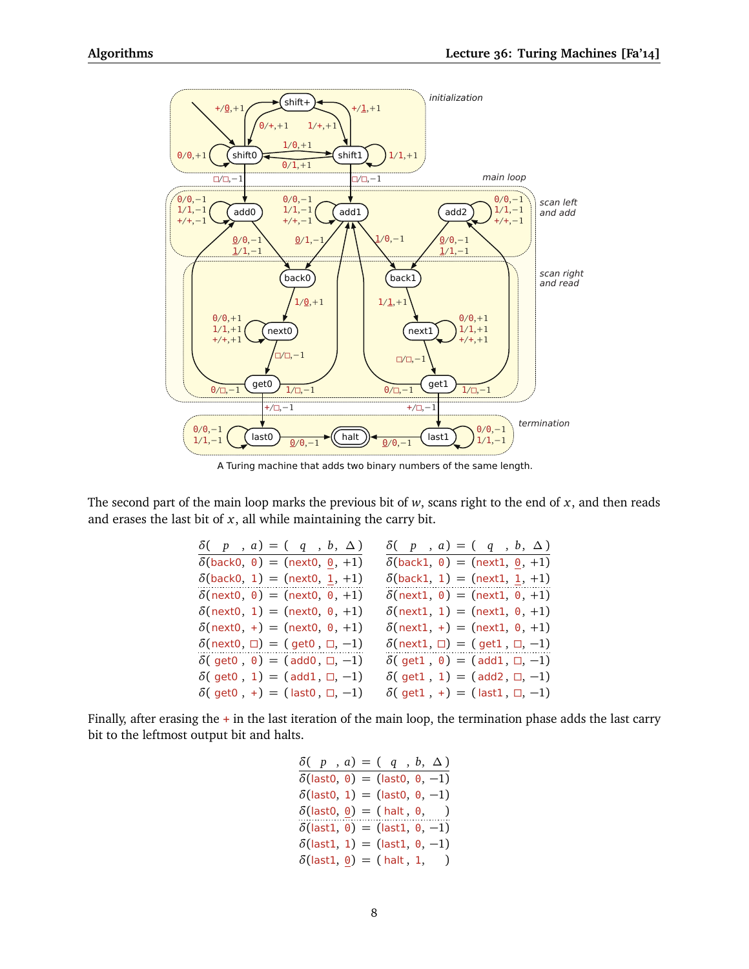

A Turing machine that adds two binary numbers of the same length.

The second part of the main loop marks the previous bit of *w*, scans right to the end of *x*, and then reads and erases the last bit of *x*, all while maintaining the carry bit.

```
δ( p , a) = ( q , b, ∆ )
\delta(back0, 0) = (next0, 0, +1)
\delta(back0, 1) = (next0, 1, +1)
\delta(next0, 0) = (next0, 0, +1)
\delta(next0, 1) = (next0, 0, +1)
\delta(next0, +) = (next0, 0, +1)
\delta(next0, \Box) = (get0, \Box, -1)
\delta( get0, 0) = (add0, \Box, -1)
\delta( get0, 1) = (add1, \Box, -1)
δ( get0, +) = (last0, \Box, -1)
                                       δ( p , a) = ( q , b, ∆ )
                                       \delta(back1, 0) = (next1, <u>0</u>, +1)
                                      \delta(back1, 1) = (next1, 1, +1)
                                      \delta(next1, 0) = (next1, 0, +1)
                                      \delta(next1, 1) = (next1, 0, +1)
                                      \delta(next1, +) = (next1, 0, +1)
                                      \delta(next1, \Box) = (get1, \Box, -1)
                                      \delta( get1, 0) = (add1, \Box, -1)
                                      \delta( get1, 1) = (add2, \Box, -1)
                                      \delta( get1, +) = (last1, \Box, -1)
```
Finally, after erasing the  $+$  in the last iteration of the main loop, the termination phase adds the last carry bit to the leftmost output bit and halts.

|                                 |  |  |  |  | $\delta(p, a) = (q, b, \Delta)$                |
|---------------------------------|--|--|--|--|------------------------------------------------|
|                                 |  |  |  |  | $\delta$ (last0, 0) = (last0, 0, -1)           |
|                                 |  |  |  |  | $\delta$ (last0, 1) = (last0, 0, -1)           |
| $\delta$ (last0, 0) = (halt, 0, |  |  |  |  | $\overline{\phantom{a}}$                       |
|                                 |  |  |  |  | $\delta$ (last1, 0) = (last1, 0, -1)           |
|                                 |  |  |  |  | $\delta$ (last1, 1) = (last1, 0, -1)           |
|                                 |  |  |  |  | $\delta(\text{last1}, 0) = (\text{halt}, 1, )$ |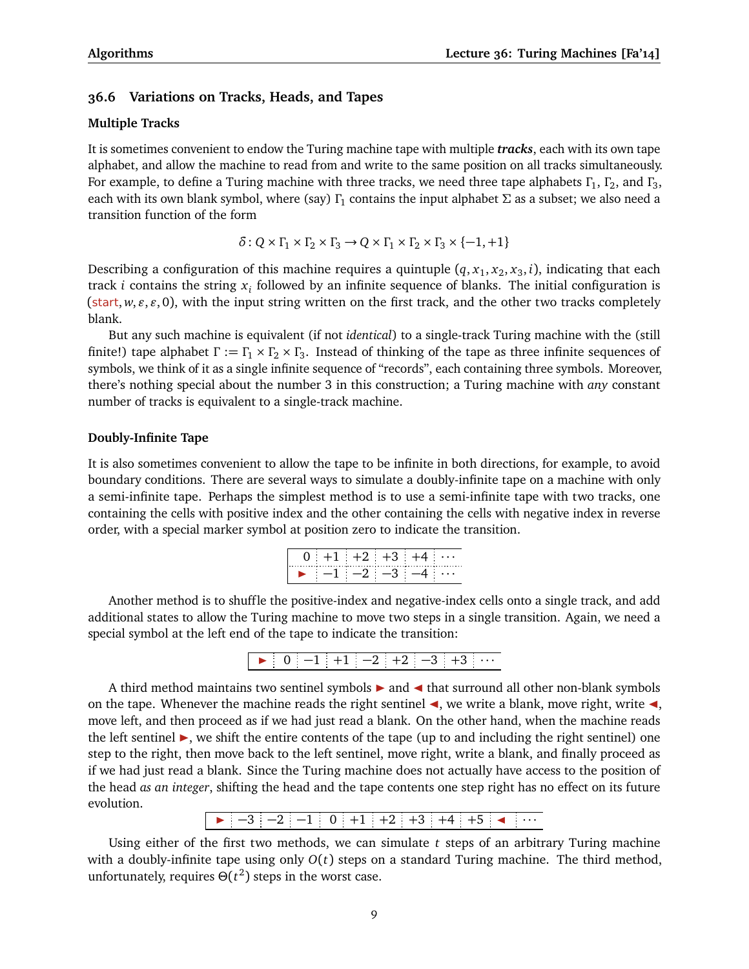## **36.6 Variations on Tracks, Heads, and Tapes**

#### **Multiple Tracks**

It is sometimes convenient to endow the Turing machine tape with multiple *tracks*, each with its own tape alphabet, and allow the machine to read from and write to the same position on all tracks simultaneously. For example, to define a Turing machine with three tracks, we need three tape alphabets *Γ*<sup>1</sup> , *Γ*<sup>2</sup> , and *Γ*<sup>3</sup> , each with its own blank symbol, where (say) *Γ*<sup>1</sup> contains the input alphabet *Σ* as a subset; we also need a transition function of the form

$$
\delta: Q \times \Gamma_1 \times \Gamma_2 \times \Gamma_3 \to Q \times \Gamma_1 \times \Gamma_2 \times \Gamma_3 \times \{-1,+1\}
$$

Describing a configuration of this machine requires a quintuple  $(q, x_1, x_2, x_3, i)$ , indicating that each track *i* contains the string *x<sup>i</sup>* followed by an infinite sequence of blanks. The initial configuration is (start,  $w, \varepsilon, \varepsilon$ , 0), with the input string written on the first track, and the other two tracks completely blank.

But any such machine is equivalent (if not *identical*) to a single-track Turing machine with the (still finite!) tape alphabet  $\Gamma := \Gamma_1 \times \Gamma_2 \times \Gamma_3$ . Instead of thinking of the tape as three infinite sequences of symbols, we think of it as a single infinite sequence of "records", each containing three symbols. Moreover, there's nothing special about the number 3 in this construction; a Turing machine with *any* constant number of tracks is equivalent to a single-track machine.

## **Doubly-Infinite Tape**

It is also sometimes convenient to allow the tape to be infinite in both directions, for example, to avoid boundary conditions. There are several ways to simulate a doubly-infinite tape on a machine with only a semi-infinite tape. Perhaps the simplest method is to use a semi-infinite tape with two tracks, one containing the cells with positive index and the other containing the cells with negative index in reverse order, with a special marker symbol at position zero to indicate the transition.

| - 1 | 1 H<br>$+$ $\lambda$ | : +3 |  |
|-----|----------------------|------|--|
|     |                      |      |  |

Another method is to shuffle the positive-index and negative-index cells onto a single track, and add additional states to allow the Turing machine to move two steps in a single transition. Again, we need a special symbol at the left end of the tape to indicate the transition:

<sup>É</sup> 0 −1 +1 −2 +2 −3 +3 ···

A third method maintains two sentinel symbols  $\blacktriangleright$  and  $\blacktriangleleft$  that surround all other non-blank symbols on the tape. Whenever the machine reads the right sentinel  $\triangleleft$ , we write a blank, move right, write  $\triangleleft$ , move left, and then proceed as if we had just read a blank. On the other hand, when the machine reads the left sentinel  $\blacktriangleright$ , we shift the entire contents of the tape (up to and including the right sentinel) one step to the right, then move back to the left sentinel, move right, write a blank, and finally proceed as if we had just read a blank. Since the Turing machine does not actually have access to the position of the head *as an integer*, shifting the head and the tape contents one step right has no effect on its future evolution.

<sup>É</sup> −3 −2 −1 0 +1 +2 +3 +4 +5 <sup>Ê</sup> ···

Using either of the first two methods, we can simulate *t* steps of an arbitrary Turing machine with a doubly-infinite tape using only  $O(t)$  steps on a standard Turing machine. The third method, unfortunately, requires *Θ*(*t* 2 ) steps in the worst case.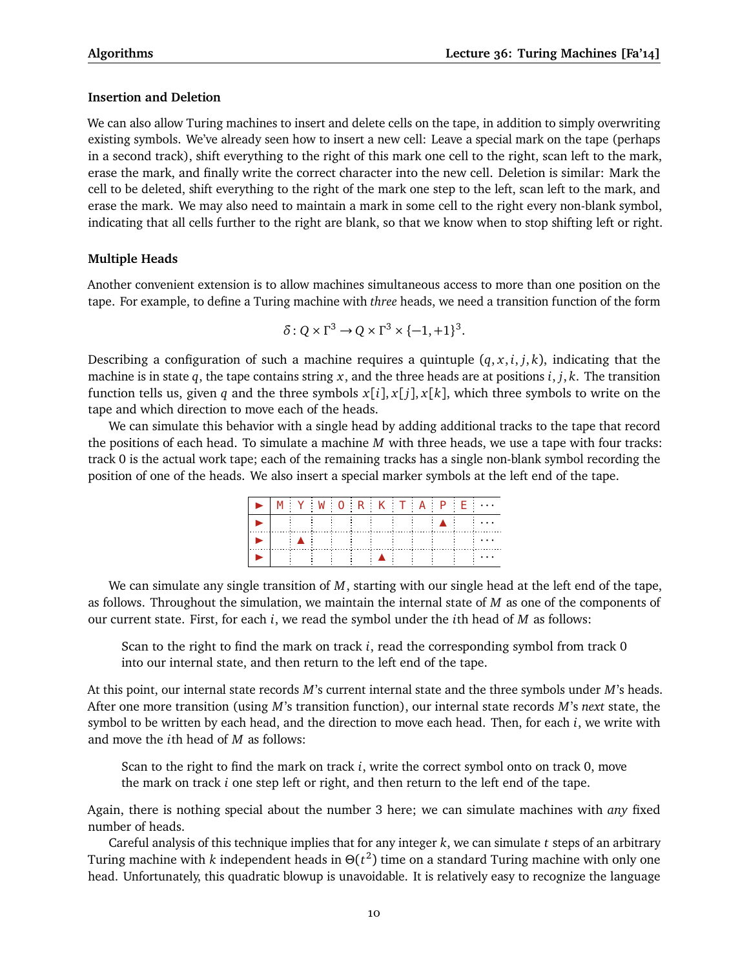## **Insertion and Deletion**

We can also allow Turing machines to insert and delete cells on the tape, in addition to simply overwriting existing symbols. We've already seen how to insert a new cell: Leave a special mark on the tape (perhaps in a second track), shift everything to the right of this mark one cell to the right, scan left to the mark, erase the mark, and finally write the correct character into the new cell. Deletion is similar: Mark the cell to be deleted, shift everything to the right of the mark one step to the left, scan left to the mark, and erase the mark. We may also need to maintain a mark in some cell to the right every non-blank symbol, indicating that all cells further to the right are blank, so that we know when to stop shifting left or right.

## **Multiple Heads**

Another convenient extension is to allow machines simultaneous access to more than one position on the tape. For example, to define a Turing machine with *three* heads, we need a transition function of the form

$$
\delta: Q \times \Gamma^3 \to Q \times \Gamma^3 \times \{-1, +1\}^3.
$$

Describing a configuration of such a machine requires a quintuple  $(q, x, i, j, k)$ , indicating that the machine is in state *q*, the tape contains string *x*, and the three heads are at positions *i*, *j*, *k*. The transition function tells us, given *q* and the three symbols  $x[i], x[j], x[k]$ , which three symbols to write on the tape and which direction to move each of the heads.

We can simulate this behavior with a single head by adding additional tracks to the tape that record the positions of each head. To simulate a machine *M* with three heads, we use a tape with four tracks: track 0 is the actual work tape; each of the remaining tracks has a single non-blank symbol recording the position of one of the heads. We also insert a special marker symbols at the left end of the tape.

|  |  |  | M Y W O R K T A P E |  |  |  |
|--|--|--|---------------------|--|--|--|
|  |  |  |                     |  |  |  |
|  |  |  |                     |  |  |  |
|  |  |  |                     |  |  |  |

We can simulate any single transition of *M*, starting with our single head at the left end of the tape, as follows. Throughout the simulation, we maintain the internal state of *M* as one of the components of our current state. First, for each *i*, we read the symbol under the *i*th head of *M* as follows:

Scan to the right to find the mark on track *i*, read the corresponding symbol from track 0 into our internal state, and then return to the left end of the tape.

At this point, our internal state records *M*'s current internal state and the three symbols under *M*'s heads. After one more transition (using *M*'s transition function), our internal state records *M*'s *next* state, the symbol to be written by each head, and the direction to move each head. Then, for each *i*, we write with and move the *i*th head of *M* as follows:

Scan to the right to find the mark on track *i*, write the correct symbol onto on track 0, move the mark on track *i* one step left or right, and then return to the left end of the tape.

Again, there is nothing special about the number 3 here; we can simulate machines with *any* fixed number of heads.

Careful analysis of this technique implies that for any integer *k*, we can simulate *t* steps of an arbitrary Turing machine with *k* independent heads in *Θ*(*t* 2 ) time on a standard Turing machine with only one head. Unfortunately, this quadratic blowup is unavoidable. It is relatively easy to recognize the language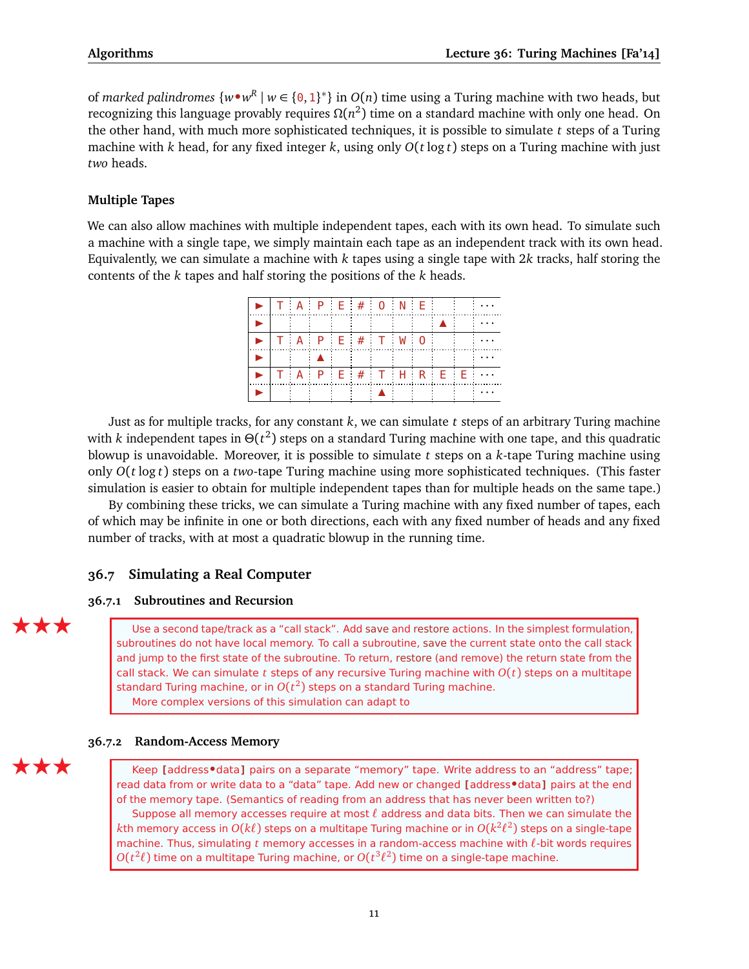of *marked palindromes*  $\{w \bullet w^R \mid w \in \{0,1\}^*\}$  in  $O(n)$  time using a Turing machine with two heads, but recognizing this language provably requires *Ω*(*n* 2 ) time on a standard machine with only one head. On the other hand, with much more sophisticated techniques, it is possible to simulate *t* steps of a Turing machine with *k* head, for any fixed integer *k*, using only *O*(*t* log *t*) steps on a Turing machine with just *two* heads.

## **Multiple Tapes**

We can also allow machines with multiple independent tapes, each with its own head. To simulate such a machine with a single tape, we simply maintain each tape as an independent track with its own head. Equivalently, we can simulate a machine with *k* tapes using a single tape with 2*k* tracks, half storing the contents of the *k* tapes and half storing the positions of the *k* heads.

|  | T.A.P.E.H. 0.N.E              |  |  |  |                                                  |
|--|-------------------------------|--|--|--|--------------------------------------------------|
|  |                               |  |  |  |                                                  |
|  | T : A : P : E : # : T : W : 0 |  |  |  |                                                  |
|  |                               |  |  |  |                                                  |
|  |                               |  |  |  | $T : A : P : E : # : T : H : R : E : E : \cdots$ |
|  |                               |  |  |  |                                                  |

Just as for multiple tracks, for any constant *k*, we can simulate *t* steps of an arbitrary Turing machine with *k* independent tapes in *Θ*(*t* 2 ) steps on a standard Turing machine with one tape, and this quadratic blowup is unavoidable. Moreover, it is possible to simulate *t* steps on a *k*-tape Turing machine using only *O*(*t* log *t*) steps on a *two*-tape Turing machine using more sophisticated techniques. (This faster simulation is easier to obtain for multiple independent tapes than for multiple heads on the same tape.)

By combining these tricks, we can simulate a Turing machine with any fixed number of tapes, each of which may be infinite in one or both directions, each with any fixed number of heads and any fixed number of tracks, with at most a quadratic blowup in the running time.

#### **36.7 Simulating a Real Computer**

#### **36.7.1 Subroutines and Recursion**

Use a second tape/track as a "call stack". Add save and restore actions. In the simplest formulation, subroutines do not have local memory. To call a subroutine, save the current state onto the call stack and jump to the first state of the subroutine. To return, restore (and remove) the return state from the call stack. We can simulate *t* steps of any recursive Turing machine with *O*(*t*) steps on a multitape standard Turing machine, or in  $O(t^2)$  steps on a standard Turing machine. More complex versions of this simulation can adapt to

**36.7.2 Random-Access Memory**

Keep [address<sup>•</sup>data] pairs on a separate "memory" tape. Write address to an "address" tape; read data from or write data to a "data" tape. Add new or changed **[**address**•**data**]** pairs at the end of the memory tape. (Semantics of reading from an address that has never been written to?)

Suppose all memory accesses require at most *`* address and data bits. Then we can simulate the  $k$ th memory access in  $O(k\ell)$  steps on a multitape Turing machine or in  $O(k^2\ell^2)$  steps on a single-tape machine. Thus, simulating *t* memory accesses in a random-access machine with  $\ell$ -bit words requires  $O(t^2\ell)$  time on a multitape Turing machine, or  $O(t^3\ell^2)$  time on a single-tape machine.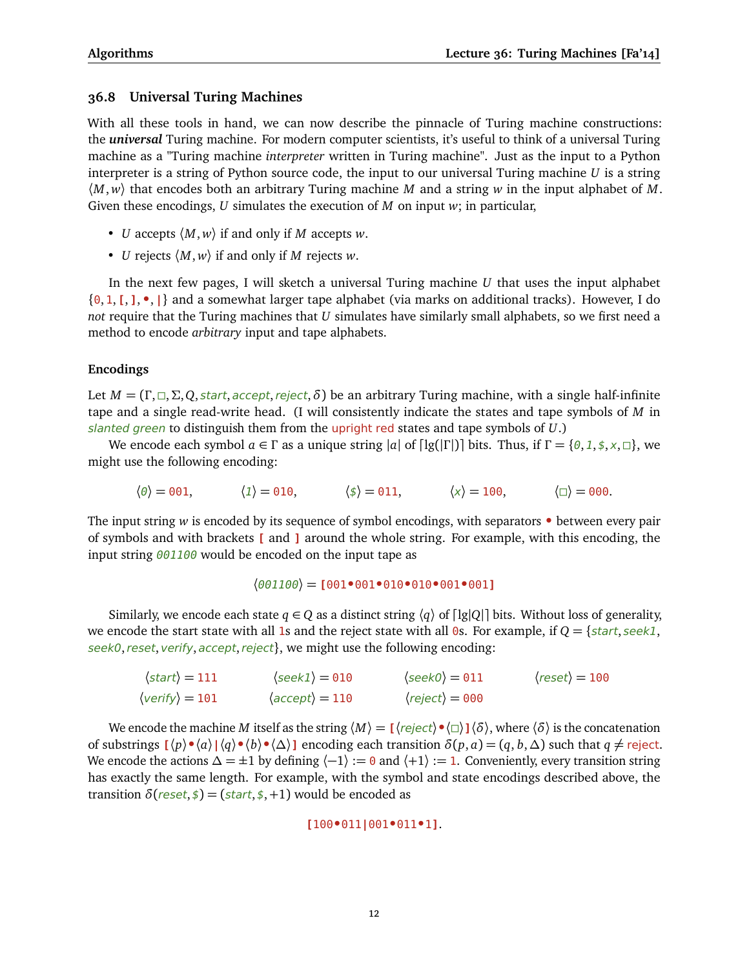## **36.8 Universal Turing Machines**

With all these tools in hand, we can now describe the pinnacle of Turing machine constructions: the *universal* Turing machine. For modern computer scientists, it's useful to think of a universal Turing machine as a "Turing machine *interpreter* written in Turing machine". Just as the input to a Python interpreter is a string of Python source code, the input to our universal Turing machine *U* is a string 〈*M*, *w*〉 that encodes both an arbitrary Turing machine *M* and a string *w* in the input alphabet of *M*. Given these encodings, *U* simulates the execution of *M* on input *w*; in particular,

- *U* accepts 〈*M*, *w*〉 if and only if *M* accepts *w*.
- *U* rejects 〈*M*, *w*〉 if and only if *M* rejects *w*.

In the next few pages, I will sketch a universal Turing machine *U* that uses the input alphabet {0, 1, **[**, **]**,**•**, **|**} and a somewhat larger tape alphabet (via marks on additional tracks). However, I do *not* require that the Turing machines that *U* simulates have similarly small alphabets, so we first need a method to encode *arbitrary* input and tape alphabets.

## **Encodings**

Let  $M = (\Gamma, \Box, \Sigma, Q, start, accept, reject, \delta)$  be an arbitrary Turing machine, with a single half-infinite tape and a single read-write head. (I will consistently indicate the states and tape symbols of *M* in slanted green to distinguish them from the upright red states and tape symbols of *U*.)

We encode each symbol  $a \in \Gamma$  as a unique string |*a*| of  $\lceil \lg(|\Gamma|) \rceil$  bits. Thus, if  $\Gamma = \{0, 1, \frac{\pi}{2}, \pi, \Box\}$ , we might use the following encoding:

$$
\langle 0 \rangle = 001, \qquad \qquad \langle 1 \rangle = 010, \qquad \qquad \langle \phi \rangle = 011, \qquad \qquad \langle x \rangle = 100, \qquad \qquad \langle \Box \rangle = 000.
$$

The input string *w* is encoded by its sequence of symbol encodings, with separators **•** between every pair of symbols and with brackets **[** and **]** around the whole string. For example, with this encoding, the input string  $001100$  would be encoded on the input tape as

$$
\langle 001100 \rangle = [001\text{--}001\text{--}010\text{--}010\text{--}001\text{--}001]
$$

Similarly, we encode each state  $q \in Q$  as a distinct string  $\langle q \rangle$  of  $\lceil \lg|Q| \rceil$  bits. Without loss of generality, we encode the start state with all 1s and the reject state with all 0s. For example, if  $Q = \{start, seek1,$ seek0, reset, verify, accept, reject}, we might use the following encoding:

| $\langle start \rangle = 111$  | $\langle seek1\rangle = 010$   | $\langle$ seek0 $\rangle$ = 011  | $\langle reset \rangle = 100$ |
|--------------------------------|--------------------------------|----------------------------------|-------------------------------|
| $\langle verify \rangle = 101$ | $\langle accept \rangle = 110$ | $\langle$ reject $\rangle = 000$ |                               |

We encode the machine *M* itself as the string  $\langle M \rangle = \frac{\left[ \langle reject \rangle \bullet \langle \Box \rangle \right] \langle \delta \rangle}{\left[ \langle \delta \rangle \right]}$ , where  $\langle \delta \rangle$  is the concatenation of substrings  $\lceil \langle p \rangle \cdot \langle a \rangle \rceil \langle q \rangle \cdot \langle b \rangle \cdot \langle \Delta \rangle$  encoding each transition  $\delta(p, a) = (q, b, \Delta)$  such that  $q \neq$  reject. We encode the actions  $\Delta = \pm 1$  by defining  $\langle -1 \rangle := 0$  and  $\langle +1 \rangle := 1$ . Conveniently, every transition string has exactly the same length. For example, with the symbol and state encodings described above, the transition  $\delta(reset, \xi) = (start, \xi, +1)$  would be encoded as

## **[**100**•**011**|**001**•**011**•**1**]**.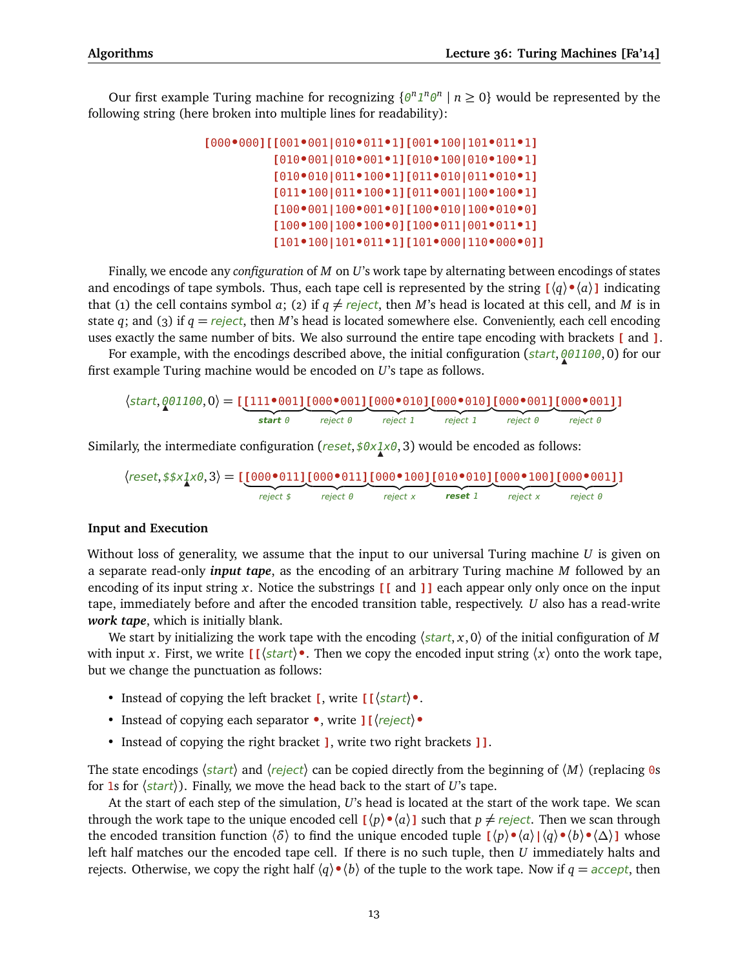Our first example Turing machine for recognizing  $\{0^n 1^n 0^n \mid n \ge 0\}$  would be represented by the following string (here broken into multiple lines for readability):

```
[000•000][[001•001|010•011•1][001•100|101•011•1]
          [010•001|010•001•1][010•100|010•100•1]
          [010•010|011•100•1][011•010|011•010•1]
          [011•100|011•100•1][011•001|100•100•1]
          [100•001|100•001•0][100•010|100•010•0]
          [100•100|100•100•0][100•011|001•011•1]
          [101•100|101•011•1][101•000|110•000•0]]
```
Finally, we encode any *configuration* of *M* on *U*'s work tape by alternating between encodings of states and encodings of tape symbols. Thus, each tape cell is represented by the string  $\left[\langle q \rangle \bullet \langle a \rangle\right]$  indicating that (1) the cell contains symbol *a*; (2) if  $q \neq$  reject, then *M*'s head is located at this cell, and *M* is in state  $q$ ; and (3) if  $q = reject$ , then *M*'s head is located somewhere else. Conveniently, each cell encoding uses exactly the same number of bits. We also surround the entire tape encoding with brackets **[** and **]**.

For example, with the encodings described above, the initial configuration (start, 001100, 0) for our first example Turing machine would be encoded on *U*'s tape as follows.

$$
\langle start, \mathbf{Q01100}, 0 \rangle = \underbrace{\text{[111} \bullet 001 \text{[000} \bullet 001] \text{[000} \bullet 010] \text{[000} \bullet 010]}_{\text{reject 1}} \underbrace{\text{[000} \bullet 010 \text{[000} \bullet 001] \text{[000} \bullet 001] \text{[000} \bullet 001]}}_{\text{reject 0}}
$$

Similarly, the intermediate configuration (*reset*,  $\frac{\cancel{0}x}{x\theta}$ , 3) would be encoded as follows:

$$
\langle \text{reset}, \text{fsx1x0,3} \rangle = \underbrace{[\text{000} \bullet \text{011}][\text{000} \bullet \text{011}][\text{000} \bullet \text{100}][\text{010} \bullet \text{010}][\text{000} \bullet \text{100}][\text{000} \bullet \text{001}][\text{000} \bullet \text{001}]}_{\text{reject x}}]
$$

## **Input and Execution**

Without loss of generality, we assume that the input to our universal Turing machine *U* is given on a separate read-only *input tape*, as the encoding of an arbitrary Turing machine *M* followed by an encoding of its input string *x*. Notice the substrings **[[** and **]]** each appear only only once on the input tape, immediately before and after the encoded transition table, respectively. *U* also has a read-write *work tape*, which is initially blank.

We start by initializing the work tape with the encoding  $\langle \text{start}, x, 0 \rangle$  of the initial configuration of *M* with input *x*. First, we write  $\left[\frac{\text{d}z}{\text{d}z}\right]$ . Then we copy the encoded input string  $\langle x \rangle$  onto the work tape, but we change the punctuation as follows:

- Instead of copying the left bracket **[**, write **[[**〈start〉**•**.
- Instead of copying each separator **•**, write **][**〈reject〉**•**
- Instead of copying the right bracket **]**, write two right brackets **]]**.

The state encodings  $\langle start \rangle$  and  $\langle reject \rangle$  can be copied directly from the beginning of  $\langle M \rangle$  (replacing 0s for 1s for 〈start〉). Finally, we move the head back to the start of *U*'s tape.

At the start of each step of the simulation, *U*'s head is located at the start of the work tape. We scan through the work tape to the unique encoded cell  $[\langle p \rangle \bullet \langle a \rangle]$  such that  $p \neq$  reject. Then we scan through the encoded transition function  $\langle \delta \rangle$  to find the unique encoded tuple  $[\langle p \rangle \bullet \langle a \rangle] \langle q \rangle \bullet \langle b \rangle \bullet \langle \Delta \rangle]$  whose left half matches our the encoded tape cell. If there is no such tuple, then *U* immediately halts and rejects. Otherwise, we copy the right half  $\langle q \rangle \bullet \langle b \rangle$  of the tuple to the work tape. Now if  $q = accept$ , then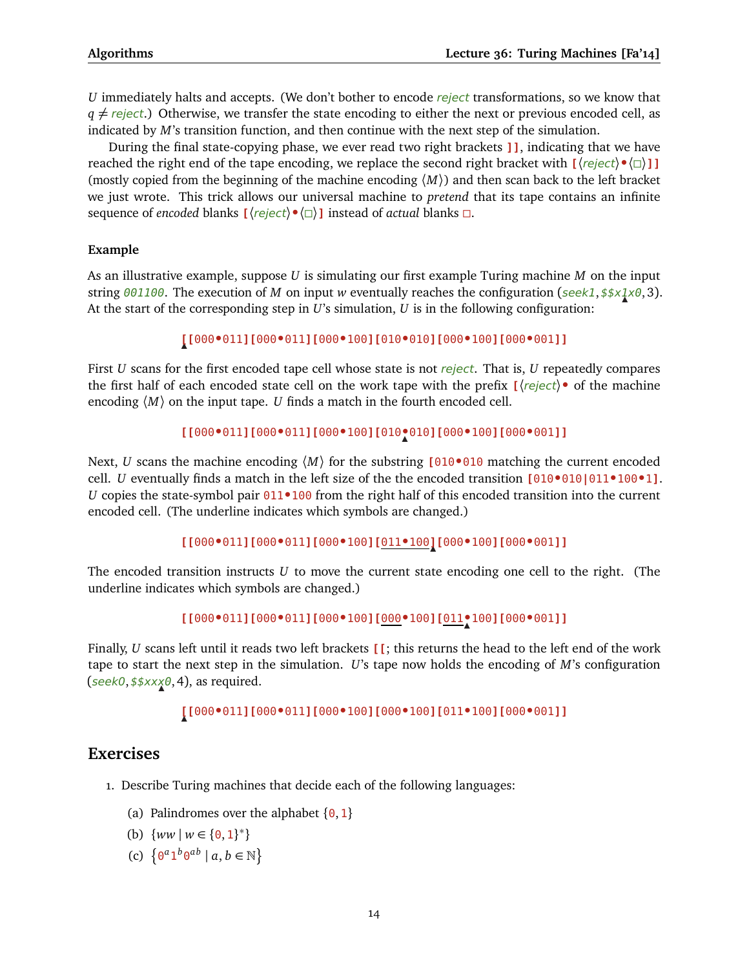*U* immediately halts and accepts. (We don't bother to encode *reject* transformations, so we know that  $q \neq$  *reject*.) Otherwise, we transfer the state encoding to either the next or previous encoded cell, as indicated by *M*'s transition function, and then continue with the next step of the simulation.

During the final state-copying phase, we ever read two right brackets **]]**, indicating that we have reached the right end of the tape encoding, we replace the second right bracket with  $[\langle$ reject $\rangle \bullet$ ( $\square$ )] (mostly copied from the beginning of the machine encoding 〈*M*〉) and then scan back to the left bracket we just wrote. This trick allows our universal machine to *pretend* that its tape contains an infinite sequence of *encoded* blanks  $[(\text{reject}) \bullet \Box)]$  instead of *actual* blanks  $\Box$ .

## **Example**

As an illustrative example, suppose *U* is simulating our first example Turing machine *M* on the input string 001100. The execution of M on input *w* eventually reaches the configuration (seek1,\$\$x1x0,3). At the start of the corresponding step in *U*'s simulation, *U* is in the following configuration:

Î **[[**000**•**011**][**000**•**011**][**000**•**100**][**010**•**010**][**000**•**100**][**000**•**001**]]**

First *U* scans for the first encoded tape cell whose state is not reject. That is, *U* repeatedly compares the first half of each encoded state cell on the work tape with the prefix **[**〈reject〉**•** of the machine encoding  $\langle M \rangle$  on the input tape. *U* finds a match in the fourth encoded cell.

```
[[000•011][000•011][000•100][010
Î
•010][000•100][000•001]]
```
Next, *U* scans the machine encoding  $\langle M \rangle$  for the substring **[010 •**010 matching the current encoded cell. *U* eventually finds a match in the left size of the the encoded transition **[**010**•**010**|**011**•**100**•**1**]**. *U* copies the state-symbol pair 011**•**100 from the right half of this encoded transition into the current encoded cell. (The underline indicates which symbols are changed.)

```
[[000•011][000•011][000•100][011•100
Î
][000•100][000•001]]
```
The encoded transition instructs *U* to move the current state encoding one cell to the right. (The underline indicates which symbols are changed.)

**[[**000**•**011**][**000**•**011**][**000**•**100**][**000**•**100**][**011 Î **•**100**][**000**•**001**]]**

Finally, *U* scans left until it reads two left brackets **[[**; this returns the head to the left end of the work tape to start the next step in the simulation. *U*'s tape now holds the encoding of *M*'s configuration  $(seek0, $***0, 4)$ , as required.

```
Î
[[000•011][000•011][000•100][000•100][011•100][000•001]]
```
## **Exercises**

- 1. Describe Turing machines that decide each of the following languages:
	- (a) Palindromes over the alphabet  $\{0, 1\}$
	- (b)  $\{ww \mid w \in \{0, 1\}^*\}$
	- (c)  $\{ \theta^a 1^b \theta^{ab} \mid a, b \in \mathbb{N} \}$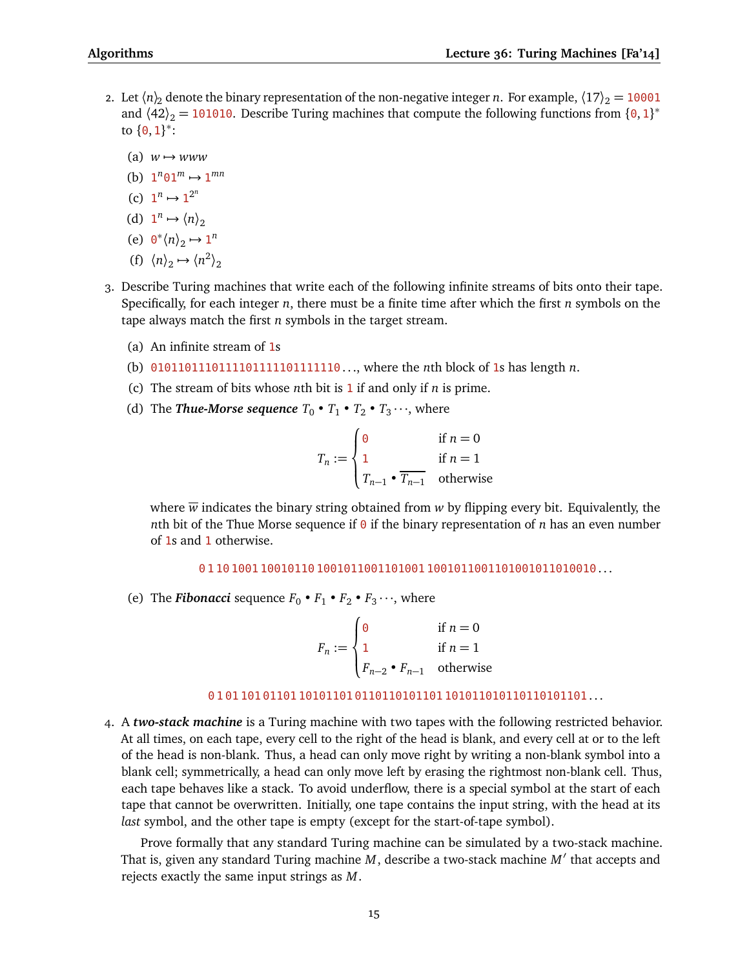- 2. Let  $\langle n \rangle_2$  denote the binary representation of the non-negative integer *n*. For example,  $\langle 17 \rangle_2 = 10001$ and  $\langle 42 \rangle_2 = 101010$ . Describe Turing machines that compute the following functions from  $\{0, 1\}^*$ to  $\{0, 1\}^*$ :
	- (a)  $w \mapsto www$
	- (b)  $1^n \oplus 1^m \mapsto 1^{mn}$
	- (c)  $1^n \mapsto 1^{2^n}$
	- (d)  $1^n \mapsto \langle n \rangle_2$
	- (e)  $\theta^* \langle n \rangle_2 \mapsto 1^n$
	- (f)  $\langle n \rangle_2 \mapsto \langle n^2 \rangle_2$
- 3. Describe Turing machines that write each of the following infinite streams of bits onto their tape. Specifically, for each integer *n*, there must be a finite time after which the first *n* symbols on the tape always match the first *n* symbols in the target stream.
	- (a) An infinite stream of 1s
	- (b) 0101101110111101111101111110 . . ., where the *n*th block of 1s has length *n*.
	- (c) The stream of bits whose *n*th bit is 1 if and only if *n* is prime.
	- (d) The *Thue-Morse sequence*  $T_0 \cdot T_1 \cdot T_2 \cdot T_3 \cdots$ , where

$$
T_n := \begin{cases} 0 & \text{if } n = 0\\ 1 & \text{if } n = 1\\ T_{n-1} \bullet \overline{T_{n-1}} & \text{otherwise} \end{cases}
$$

where  $\overline{w}$  indicates the binary string obtained from  $w$  by flipping every bit. Equivalently, the *nth* bit of the Thue Morse sequence if 0 if the binary representation of *n* has an even number of 1s and 1 otherwise.

0 1 10 1001 10010110 1001011001101001 1001011001101001011010010 . . .

(e) The *Fibonacci* sequence  $F_0 \cdot F_1 \cdot F_2 \cdot F_3 \cdots$ , where

$$
F_n := \begin{cases} 0 & \text{if } n = 0\\ 1 & \text{if } n = 1\\ F_{n-2} \bullet F_{n-1} & \text{otherwise} \end{cases}
$$

0 1 0 1 1 0 1 0 1 1 0 1 1 0 1 0 1 1 0 1 1 0 1 1 0 1 0 1 1 0 1 0 1 1 0 1 0 1 1 0 1 0 1 1 0 1  $\ldots$ 

<span id="page-14-0"></span>4. A *two-stack machine* is a Turing machine with two tapes with the following restricted behavior. At all times, on each tape, every cell to the right of the head is blank, and every cell at or to the left of the head is non-blank. Thus, a head can only move right by writing a non-blank symbol into a blank cell; symmetrically, a head can only move left by erasing the rightmost non-blank cell. Thus, each tape behaves like a stack. To avoid underflow, there is a special symbol at the start of each tape that cannot be overwritten. Initially, one tape contains the input string, with the head at its *last* symbol, and the other tape is empty (except for the start-of-tape symbol).

Prove formally that any standard Turing machine can be simulated by a two-stack machine. That is, given any standard Turing machine M, describe a two-stack machine M' that accepts and rejects exactly the same input strings as *M*.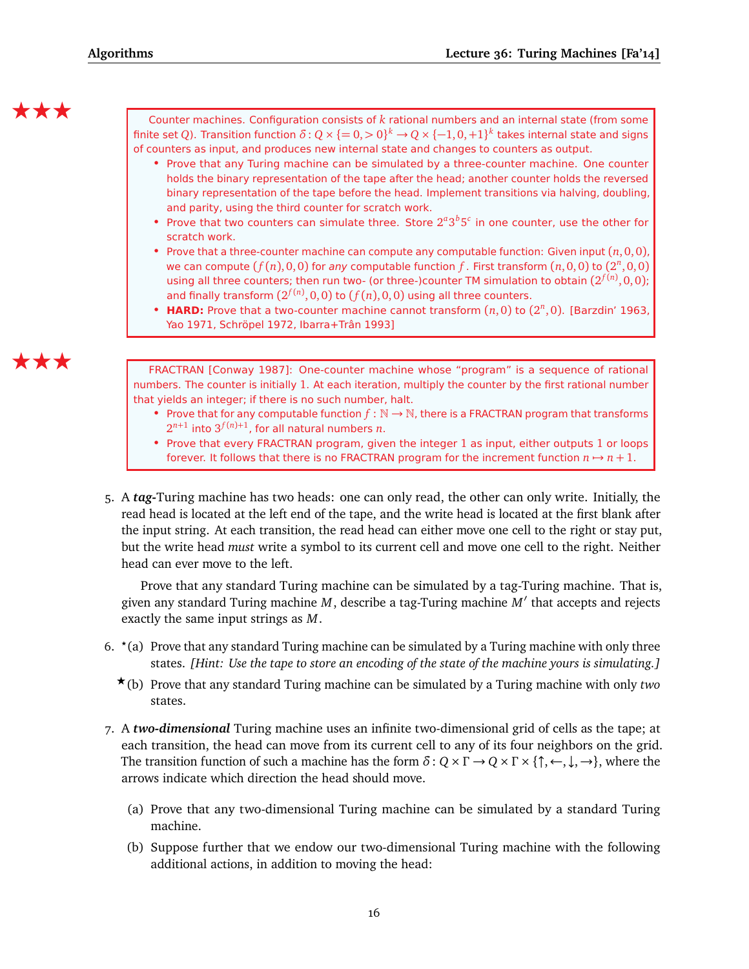Counter machines. Configuration consists of *k* rational numbers and an internal state (from some finite set  $Q$ ). Transition function  $\delta$  :  $Q\times\{=0,>0\}^k \to Q\times\{-1,0,+1\}^k$  takes internal state and signs of counters as input, and produces new internal state and changes to counters as output.

- Prove that any Turing machine can be simulated by a three-counter machine. One counter holds the binary representation of the tape after the head; another counter holds the reversed binary representation of the tape before the head. Implement transitions via halving, doubling, and parity, using the third counter for scratch work.
- Prove that two counters can simulate three. Store  $2^a 3^b 5^c$  in one counter, use the other for scratch work.
- Prove that a three-counter machine can compute any computable function: Given input (*n*, 0, 0), we can compute  $(f(n), 0, 0)$  for any computable function  $f$  . First transform  $(n, 0, 0)$  to  $(2<sup>n</sup>, 0, 0)$ using all three counters; then run two- (or three-)counter TM simulation to obtain  $(2^{f(n)},0,0)$ ; and finally transform  $(2^{f(n)},0,0)$  to  $(f(n),0,0)$  using all three counters.
- **HARD:** Prove that a two-counter machine cannot transform  $(n,0)$  to  $(2^n,0)$ . [Barzdin' 1963, Yao 1971, Schröpel 1972, Ibarra+Trân 1993]

FRACTRAN [Conway 1987]: One-counter machine whose "program" is a sequence of rational numbers. The counter is initially 1. At each iteration, multiply the counter by the first rational number that yields an integer; if there is no such number, halt.

- Prove that for any computable function  $f : \mathbb{N} \to \mathbb{N}$ , there is a FRACTRAN program that transforms  $2^{n+1}$  into  $3^{f(n)+1}$ , for all natural numbers *n*.
- Prove that every FRACTRAN program, given the integer 1 as input, either outputs 1 or loops forever. It follows that there is no FRACTRAN program for the increment function  $n \mapsto n + 1$ .
- 5. A *tag-*Turing machine has two heads: one can only read, the other can only write. Initially, the read head is located at the left end of the tape, and the write head is located at the first blank after the input string. At each transition, the read head can either move one cell to the right or stay put, but the write head *must* write a symbol to its current cell and move one cell to the right. Neither head can ever move to the left.

Prove that any standard Turing machine can be simulated by a tag-Turing machine. That is, given any standard Turing machine *M*, describe a tag-Turing machine *M'* that accepts and rejects exactly the same input strings as *M*.

- 6. <sup>\*</sup>(a) Prove that any standard Turing machine can be simulated by a Turing machine with only three states. *[Hint: Use the tape to store an encoding of the state of the machine yours is simulating.]*
	- <sup>Æ</sup>(b) Prove that any standard Turing machine can be simulated by a Turing machine with only *two* states.
- 7. A *two-dimensional* Turing machine uses an infinite two-dimensional grid of cells as the tape; at each transition, the head can move from its current cell to any of its four neighbors on the grid. The transition function of such a machine has the form *δ*: *Q* × *Γ* → *Q* × *Γ* × {↑,←, ↓,→}, where the arrows indicate which direction the head should move.
	- (a) Prove that any two-dimensional Turing machine can be simulated by a standard Turing machine.
	- (b) Suppose further that we endow our two-dimensional Turing machine with the following additional actions, in addition to moving the head: